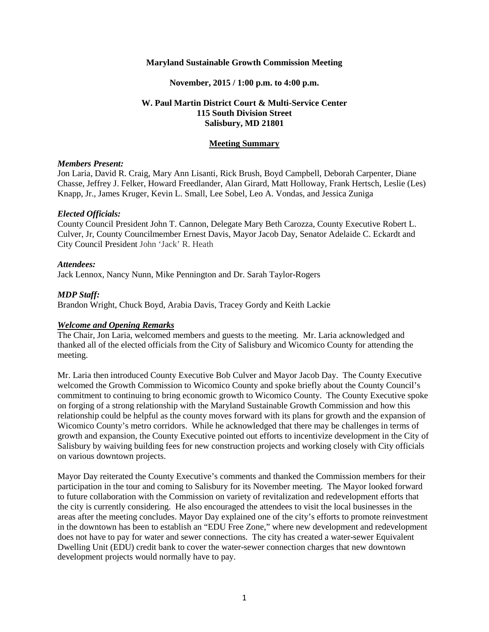#### **Maryland Sustainable Growth Commission Meeting**

#### **November, 2015 / 1:00 p.m. to 4:00 p.m.**

## **W. Paul Martin District Court & Multi-Service Center 115 South Division Street Salisbury, MD 21801**

#### **Meeting Summary**

### *Members Present:*

Jon Laria, David R. Craig, Mary Ann Lisanti, Rick Brush, Boyd Campbell, Deborah Carpenter, Diane Chasse, Jeffrey J. Felker, Howard Freedlander, Alan Girard, Matt Holloway, Frank Hertsch, Leslie (Les) Knapp, Jr., James Kruger, Kevin L. Small, Lee Sobel, Leo A. Vondas, and Jessica Zuniga

#### *Elected Officials:*

County Council President John T. Cannon, Delegate Mary Beth Carozza, County Executive Robert L. Culver, Jr, County Councilmember Ernest Davis, Mayor Jacob Day, Senator Adelaide C. Eckardt and City Council President John 'Jack' R. Heath

#### *Attendees:*

Jack Lennox, Nancy Nunn, Mike Pennington and Dr. Sarah Taylor-Rogers

### *MDP Staff:*

Brandon Wright, Chuck Boyd, Arabia Davis, Tracey Gordy and Keith Lackie

### *Welcome and Opening Remarks*

The Chair, Jon Laria, welcomed members and guests to the meeting. Mr. Laria acknowledged and thanked all of the elected officials from the City of Salisbury and Wicomico County for attending the meeting.

Mr. Laria then introduced County Executive Bob Culver and Mayor Jacob Day. The County Executive welcomed the Growth Commission to Wicomico County and spoke briefly about the County Council's commitment to continuing to bring economic growth to Wicomico County. The County Executive spoke on forging of a strong relationship with the Maryland Sustainable Growth Commission and how this relationship could be helpful as the county moves forward with its plans for growth and the expansion of Wicomico County's metro corridors. While he acknowledged that there may be challenges in terms of growth and expansion, the County Executive pointed out efforts to incentivize development in the City of Salisbury by waiving building fees for new construction projects and working closely with City officials on various downtown projects.

Mayor Day reiterated the County Executive's comments and thanked the Commission members for their participation in the tour and coming to Salisbury for its November meeting. The Mayor looked forward to future collaboration with the Commission on variety of revitalization and redevelopment efforts that the city is currently considering. He also encouraged the attendees to visit the local businesses in the areas after the meeting concludes. Mayor Day explained one of the city's efforts to promote reinvestment in the downtown has been to establish an "EDU Free Zone," where new development and redevelopment does not have to pay for water and sewer connections. The city has created a water-sewer Equivalent Dwelling Unit (EDU) credit bank to cover the water-sewer connection charges that new downtown development projects would normally have to pay.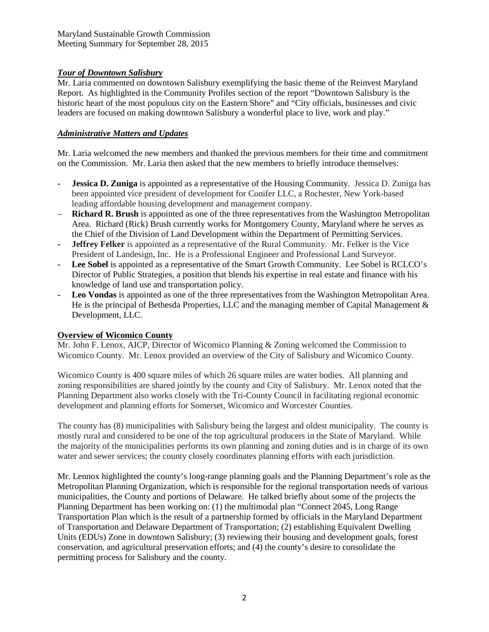# *Tour of Downtown Salisbury*

Mr. Laria commented on downtown Salisbury exemplifying the basic theme of the Reinvest Maryland Report. As highlighted in the Community Profiles section of the report "Downtown Salisbury is the historic heart of the most populous city on the Eastern Shore" and "City officials, businesses and civic leaders are focused on making downtown Salisbury a wonderful place to live, work and play."

# *Administrative Matters and Updates*

Mr. Laria welcomed the new members and thanked the previous members for their time and commitment on the Commission. Mr. Laria then asked that the new members to briefly introduce themselves:

- **- Jessica D. Zuniga** is appointed as a representative of the Housing Community. Jessica D. Zuniga has been appointed vice president of development for Conifer LLC, a Rochester, New York-based leading affordable housing development and management company.
- **Richard R. Brush** is appointed as one of the three representatives from the Washington Metropolitan Area. Richard (Rick) Brush currently works for Montgomery County, Maryland where he serves as the Chief of the Division of Land Development within the Department of Permitting Services.
- **- Jeffrey Felker** is appointed as a representative of the Rural Community. Mr. Felker is the Vice President of Landesign, Inc. He is a Professional Engineer and Professional Land Surveyor.
- **- Lee Sobel** is appointed as a representative of the Smart Growth Community. Lee Sobel is RCLCO's Director of Public Strategies, a position that blends his expertise in real estate and finance with his knowledge of land use and transportation policy.
- **- Leo Vondas** is appointed as one of the three representatives from the Washington Metropolitan Area. He is the principal of Bethesda Properties, LLC and the managing member of Capital Management  $\&$ Development, LLC.

# **Overview of Wicomico County**

Mr. John F. Lenox, AICP, Director of Wicomico Planning & Zoning welcomed the Commission to Wicomico County. Mr. Lenox provided an overview of the City of Salisbury and Wicomico County.

Wicomico County is 400 square miles of which 26 square miles are water bodies. All planning and zoning responsibilities are shared jointly by the county and City of Salisbury. Mr. Lenox noted that the Planning Department also works closely with the Tri-County Council in facilitating regional economic development and planning efforts for Somerset, Wicomico and Worcester Counties.

The county has (8) municipalities with Salisbury being the largest and oldest municipality. The county is mostly rural and considered to be one of the top agricultural producers in the State of Maryland. While the majority of the municipalities performs its own planning and zoning duties and is in charge of its own water and sewer services; the county closely coordinates planning efforts with each jurisdiction.

Mr. Lennox highlighted the county's long-range planning goals and the Planning Department's role as the Metropolitan Planning Organization, which is responsible for the regional transportation needs of various municipalities, the County and portions of Delaware. He talked briefly about some of the projects the Planning Department has been working on: (1) the multimodal plan "Connect 2045, Long Range Transportation Plan which is the result of a partnership formed by officials in the Maryland Department of Transportation and Delaware Department of Transportation; (2) establishing Equivalent Dwelling Units (EDUs) Zone in downtown Salisbury; (3) reviewing their housing and development goals, forest conservation, and agricultural preservation efforts; and (4) the county's desire to consolidate the permitting process for Salisbury and the county.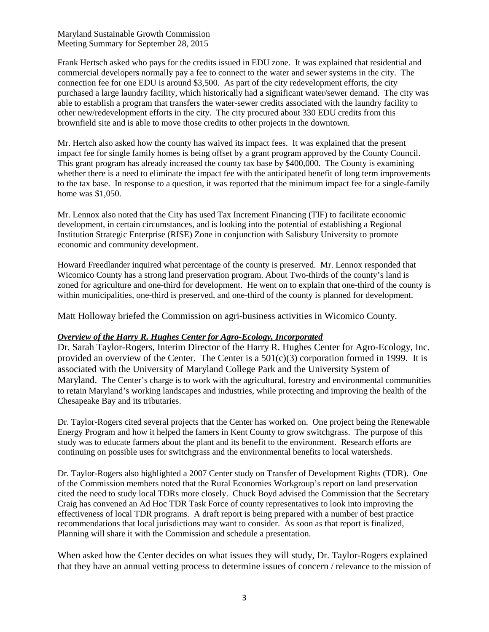Maryland Sustainable Growth Commission Meeting Summary for September 28, 2015

Frank Hertsch asked who pays for the credits issued in EDU zone. It was explained that residential and commercial developers normally pay a fee to connect to the water and sewer systems in the city. The connection fee for one EDU is around \$3,500. As part of the city redevelopment efforts, the city purchased a large laundry facility, which historically had a significant water/sewer demand. The city was able to establish a program that transfers the water-sewer credits associated with the laundry facility to other new/redevelopment efforts in the city. The city procured about 330 EDU credits from this brownfield site and is able to move those credits to other projects in the downtown.

Mr. Hertch also asked how the county has waived its impact fees. It was explained that the present impact fee for single family homes is being offset by a grant program approved by the County Council. This grant program has already increased the county tax base by \$400,000. The County is examining whether there is a need to eliminate the impact fee with the anticipated benefit of long term improvements to the tax base. In response to a question, it was reported that the minimum impact fee for a single-family home was \$1,050.

Mr. Lennox also noted that the City has used Tax Increment Financing (TIF) to facilitate economic development, in certain circumstances, and is looking into the potential of establishing a Regional Institution Strategic Enterprise (RISE) Zone in conjunction with Salisbury University to promote economic and community development.

Howard Freedlander inquired what percentage of the county is preserved. Mr. Lennox responded that Wicomico County has a strong land preservation program. About Two-thirds of the county's land is zoned for agriculture and one-third for development. He went on to explain that one-third of the county is within municipalities, one-third is preserved, and one-third of the county is planned for development.

Matt Holloway briefed the Commission on agri-business activities in Wicomico County.

## *Overview of the Harry R. Hughes Center for Agro-Ecology, Incorporated*

Dr. Sarah Taylor-Rogers, Interim Director of the Harry R. Hughes Center for Agro-Ecology, Inc. provided an overview of the Center. The Center is a  $501(c)(3)$  corporation formed in 1999. It is associated with the University of Maryland College Park and the University System of Maryland. The Center's charge is to work with the agricultural, forestry and environmental communities to retain Maryland's working landscapes and industries, while protecting and improving the health of the Chesapeake Bay and its tributaries.

Dr. Taylor-Rogers cited several projects that the Center has worked on. One project being the Renewable Energy Program and how it helped the famers in Kent County to grow switchgrass. The purpose of this study was to educate farmers about the plant and its benefit to the environment. Research efforts are continuing on possible uses for switchgrass and the environmental benefits to local watersheds.

Dr. Taylor-Rogers also highlighted a 2007 Center study on Transfer of Development Rights (TDR). One of the Commission members noted that the Rural Economies Workgroup's report on land preservation cited the need to study local TDRs more closely. Chuck Boyd advised the Commission that the Secretary Craig has convened an Ad Hoc TDR Task Force of county representatives to look into improving the effectiveness of local TDR programs. A draft report is being prepared with a number of best practice recommendations that local jurisdictions may want to consider. As soon as that report is finalized, Planning will share it with the Commission and schedule a presentation.

When asked how the Center decides on what issues they will study, Dr. Taylor-Rogers explained that they have an annual vetting process to determine issues of concern / relevance to the mission of